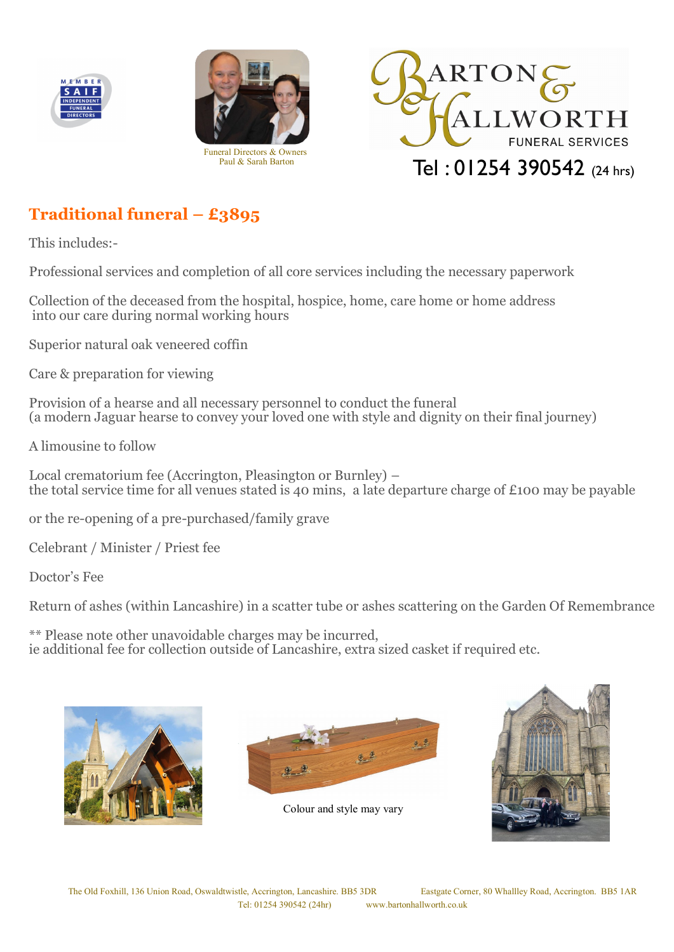





# **Traditional funeral – £3895**

This includes:-

Professional services and completion of all core services including the necessary paperwork

Collection of the deceased from the hospital, hospice, home, care home or home address into our care during normal working hours

Superior natural oak veneered coffin

Care & preparation for viewing

Provision of a hearse and all necessary personnel to conduct the funeral (a modern Jaguar hearse to convey your loved one with style and dignity on their final journey)

A limousine to follow

Local crematorium fee (Accrington, Pleasington or Burnley) – the total service time for all venues stated is 40 mins, a late departure charge of £100 may be payable

or the re-opening of a pre-purchased/family grave

Celebrant / Minister / Priest fee

Doctor's Fee

Return of ashes (within Lancashire) in a scatter tube or ashes scattering on the Garden Of Remembrance

\*\* Please note other unavoidable charges may be incurred, ie additional fee for collection outside of Lancashire, extra sized casket if required etc.





Colour and style may vary

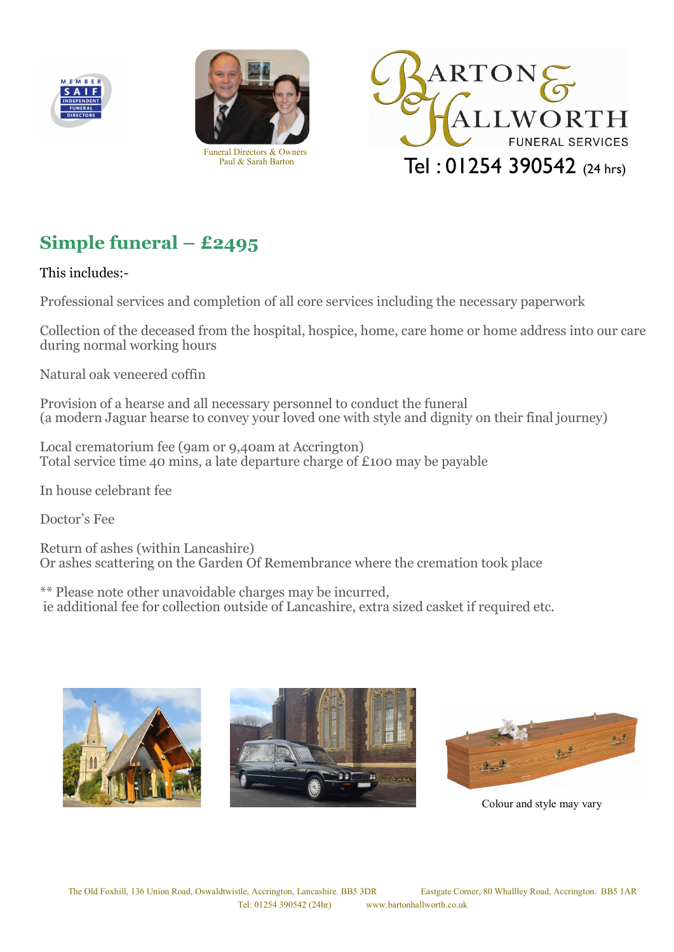





# **Simple funeral – £2495**

This includes:-

Professional services and completion of all core services including the necessary paperwork

Collection of the deceased from the hospital, hospice, home, care home or home address into our care during normal working hours

Natural oak veneered coffin

Provision of a hearse and all necessary personnel to conduct the funeral (a modern Jaguar hearse to convey your loved one with style and dignity on their final journey)

Local crematorium fee (9am or 9,40am at Accrington) Total service time 40 mins, a late departure charge of £100 may be payable

In house celebrant fee

Doctor's Fee

Return of ashes (within Lancashire) Or ashes scattering on the Garden Of Remembrance where the cremation took place

\*\* Please note other unavoidable charges may be incurred, ie additional fee for collection outside of Lancashire, extra sized casket if required etc.







Colour and style may vary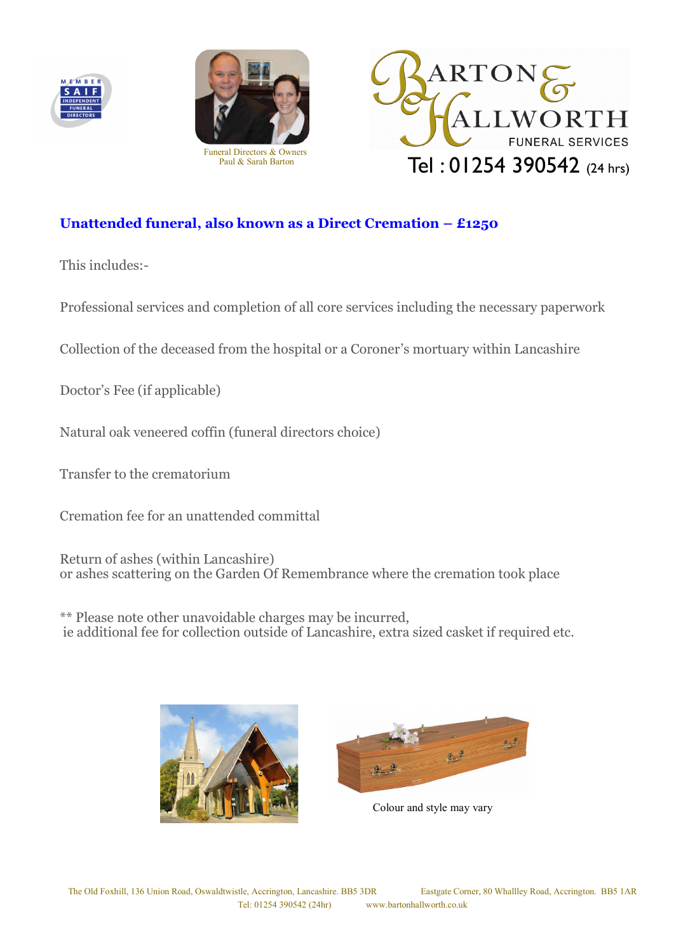





# **Unattended funeral, also known as a Direct Cremation – £1250**

This includes:-

Professional services and completion of all core services including the necessary paperwork

Collection of the deceased from the hospital or a Coroner's mortuary within Lancashire

Doctor's Fee (if applicable)

Natural oak veneered coffin (funeral directors choice)

Transfer to the crematorium

Cremation fee for an unattended committal

Return of ashes (within Lancashire) or ashes scattering on the Garden Of Remembrance where the cremation took place

\*\* Please note other unavoidable charges may be incurred, ie additional fee for collection outside of Lancashire, extra sized casket if required etc.





Colour and style may vary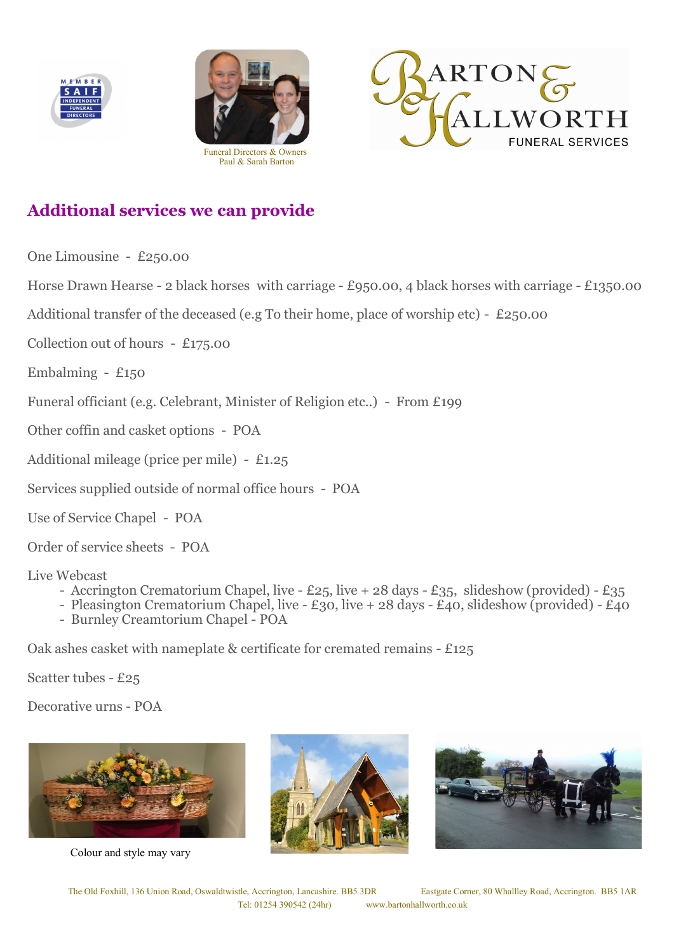





# **Additional services we can provide**

One Limousine - £250.00

Horse Drawn Hearse - 2 black horses with carriage - £950.00, 4 black horses with carriage - £1350.00

Additional transfer of the deceased (e.g To their home, place of worship etc) - £250.00

Collection out of hours - £175.00

Embalming -  $£150$ 

Funeral officiant (e.g. Celebrant, Minister of Religion etc..) - From £199

Other coffin and casket options - POA

Additional mileage (price per mile) - £1.25

Services supplied outside of normal office hours - POA

Use of Service Chapel - POA

Order of service sheets - POA

Live Webcast

- Accrington Crematorium Chapel, live £25, live + 28 days £35, slideshow (provided) £35
- Pleasington Crematorium Chapel, live £30, live + 28 days £40, slideshow (provided) £40
- Burnley Creamtorium Chapel POA

Oak ashes casket with nameplate & certificate for cremated remains - £125

Scatter tubes - £25

Decorative urns - POA



Colour and style may vary



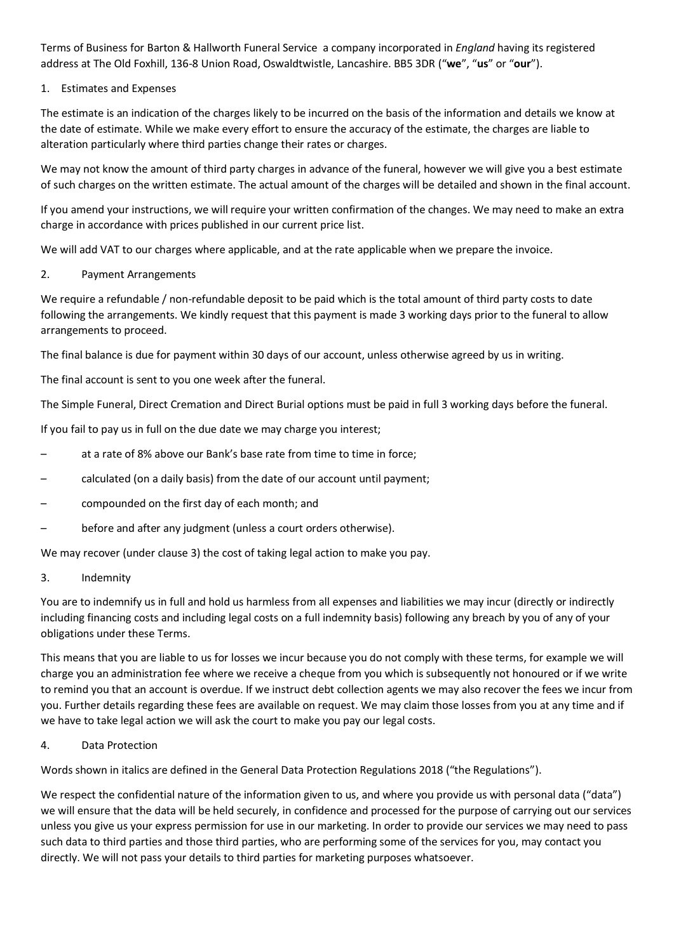Terms of Business for Barton & Hallworth Funeral Service a company incorporated in *England* having its registered address at The Old Foxhill, 136-8 Union Road, Oswaldtwistle, Lancashire. BB5 3DR ("**we**", "**us**" or "**our**").

## 1. Estimates and Expenses

The estimate is an indication of the charges likely to be incurred on the basis of the information and details we know at the date of estimate. While we make every effort to ensure the accuracy of the estimate, the charges are liable to alteration particularly where third parties change their rates or charges.

We may not know the amount of third party charges in advance of the funeral, however we will give you a best estimate of such charges on the written estimate. The actual amount of the charges will be detailed and shown in the final account.

If you amend your instructions, we will require your written confirmation of the changes. We may need to make an extra charge in accordance with prices published in our current price list.

We will add VAT to our charges where applicable, and at the rate applicable when we prepare the invoice.

#### 2. Payment Arrangements

We require a refundable / non-refundable deposit to be paid which is the total amount of third party costs to date following the arrangements. We kindly request that this payment is made 3 working days prior to the funeral to allow arrangements to proceed.

The final balance is due for payment within 30 days of our account, unless otherwise agreed by us in writing.

The final account is sent to you one week after the funeral.

The Simple Funeral, Direct Cremation and Direct Burial options must be paid in full 3 working days before the funeral.

If you fail to pay us in full on the due date we may charge you interest;

- at a rate of 8% above our Bank's base rate from time to time in force;
- calculated (on a daily basis) from the date of our account until payment;
- compounded on the first day of each month; and
- before and after any judgment (unless a court orders otherwise).

We may recover (under clause 3) the cost of taking legal action to make you pay.

3. Indemnity

You are to indemnify us in full and hold us harmless from all expenses and liabilities we may incur (directly or indirectly including financing costs and including legal costs on a full indemnity basis) following any breach by you of any of your obligations under these Terms.

This means that you are liable to us for losses we incur because you do not comply with these terms, for example we will charge you an administration fee where we receive a cheque from you which is subsequently not honoured or if we write to remind you that an account is overdue. If we instruct debt collection agents we may also recover the fees we incur from you. Further details regarding these fees are available on request. We may claim those losses from you at any time and if we have to take legal action we will ask the court to make you pay our legal costs.

#### 4. Data Protection

Words shown in italics are defined in the General Data Protection Regulations 2018 ("the Regulations").

We respect the confidential nature of the information given to us, and where you provide us with personal data ("data") we will ensure that the data will be held securely, in confidence and processed for the purpose of carrying out our services unless you give us your express permission for use in our marketing. In order to provide our services we may need to pass such data to third parties and those third parties, who are performing some of the services for you, may contact you directly. We will not pass your details to third parties for marketing purposes whatsoever.